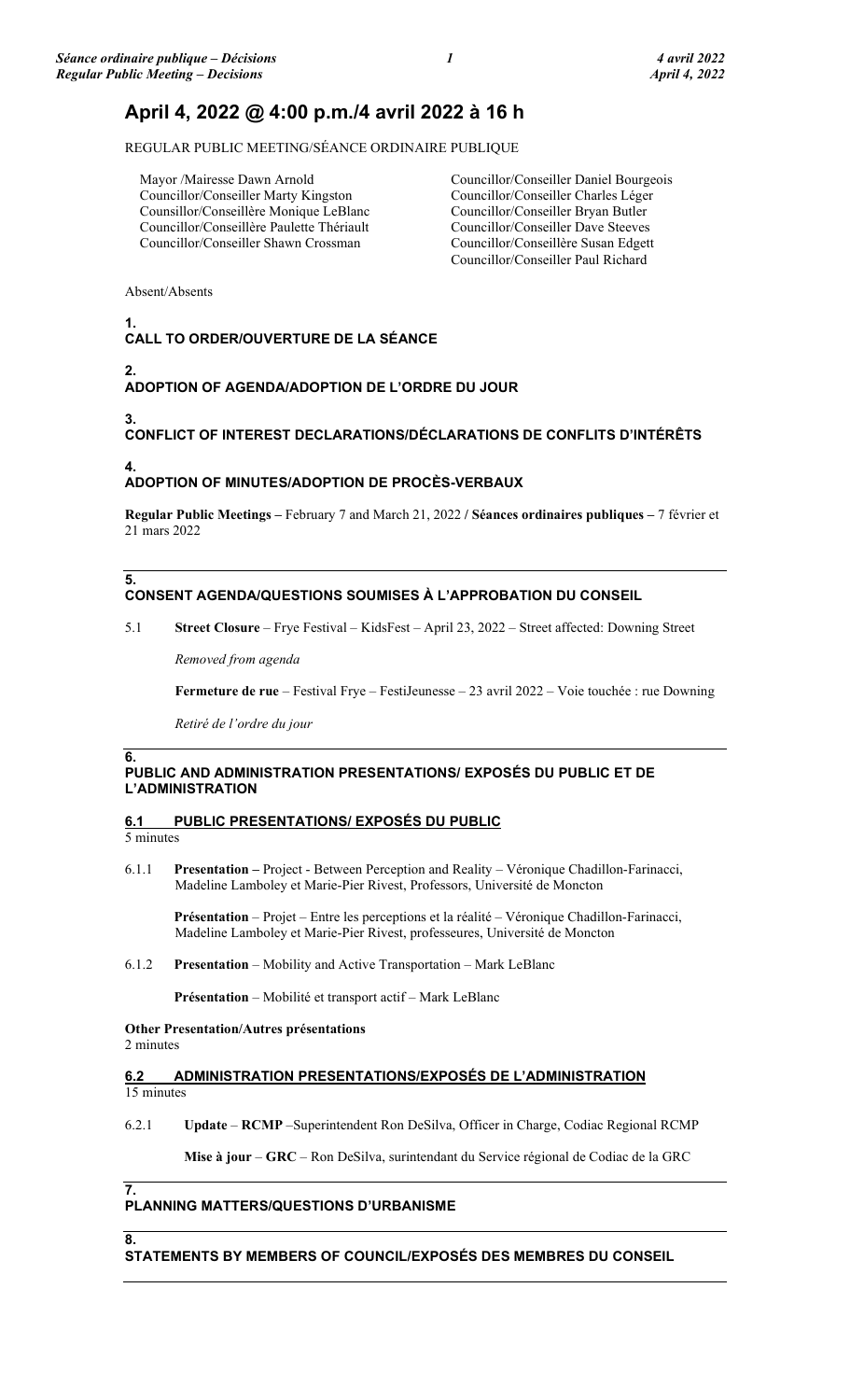# April 4, 2022 @ 4:00 p.m./4 avril 2022 à 16 h

REGULAR PUBLIC MEETING/SÉANCE ORDINAIRE PUBLIQUE

Mayor /Mairesse Dawn Arnold Councillor/Conseiller Marty Kingston Counsillor/Conseillère Monique LeBlanc Councillor/Conseillère Paulette Thériault Councillor/Conseiller Shawn Crossman

Councillor/Conseiller Daniel Bourgeois Councillor/Conseiller Charles Léger Councillor/Conseiller Bryan Butler Councillor/Conseiller Dave Steeves Councillor/Conseillère Susan Edgett Councillor/Conseiller Paul Richard

Absent/Absents

#### 1. CALL TO ORDER/OUVERTURE DE LA SÉANCE

## 2.

## ADOPTION OF AGENDA/ADOPTION DE L'ORDRE DU JOUR

4.

5.

6.

3.

# CONFLICT OF INTEREST DECLARATIONS/DÉCLARATIONS DE CONFLITS D'INTÉRÊTS

## ADOPTION OF MINUTES/ADOPTION DE PROCÈS-VERBAUX

Regular Public Meetings – February 7 and March 21, 2022 / Séances ordinaires publiques – 7 février et 21 mars 2022

## CONSENT AGENDA/QUESTIONS SOUMISES À L'APPROBATION DU CONSEIL

### 5.1 Street Closure – Frye Festival – KidsFest – April 23, 2022 – Street affected: Downing Street

Removed from agenda

Fermeture de rue – Festival Frye – FestiJeunesse – 23 avril 2022 – Voie touchée : rue Downing

Retiré de l'ordre du jour

## PUBLIC AND ADMINISTRATION PRESENTATIONS/ EXPOSÉS DU PUBLIC ET DE L'ADMINISTRATION

## 6.1 PUBLIC PRESENTATIONS/ EXPOSÉS DU PUBLIC

5 minutes

6.1.1 Presentation – Project - Between Perception and Reality – Véronique Chadillon-Farinacci, Madeline Lamboley et Marie-Pier Rivest, Professors, Université de Moncton

 Présentation – Projet – Entre les perceptions et la réalité – Véronique Chadillon-Farinacci, Madeline Lamboley et Marie-Pier Rivest, professeures, Université de Moncton

6.1.2 Presentation – Mobility and Active Transportation – Mark LeBlanc

Présentation – Mobilité et transport actif – Mark LeBlanc

Other Presentation/Autres présentations 2 minutes

### 6.2 ADMINISTRATION PRESENTATIONS/EXPOSÉS DE L'ADMINISTRATION 15 minutes

6.2.1 Update – RCMP –Superintendent Ron DeSilva, Officer in Charge, Codiac Regional RCMP

Mise à jour – GRC – Ron DeSilva, surintendant du Service régional de Codiac de la GRC

# 7.

## PLANNING MATTERS/QUESTIONS D'URBANISME

8.

STATEMENTS BY MEMBERS OF COUNCIL/EXPOSÉS DES MEMBRES DU CONSEIL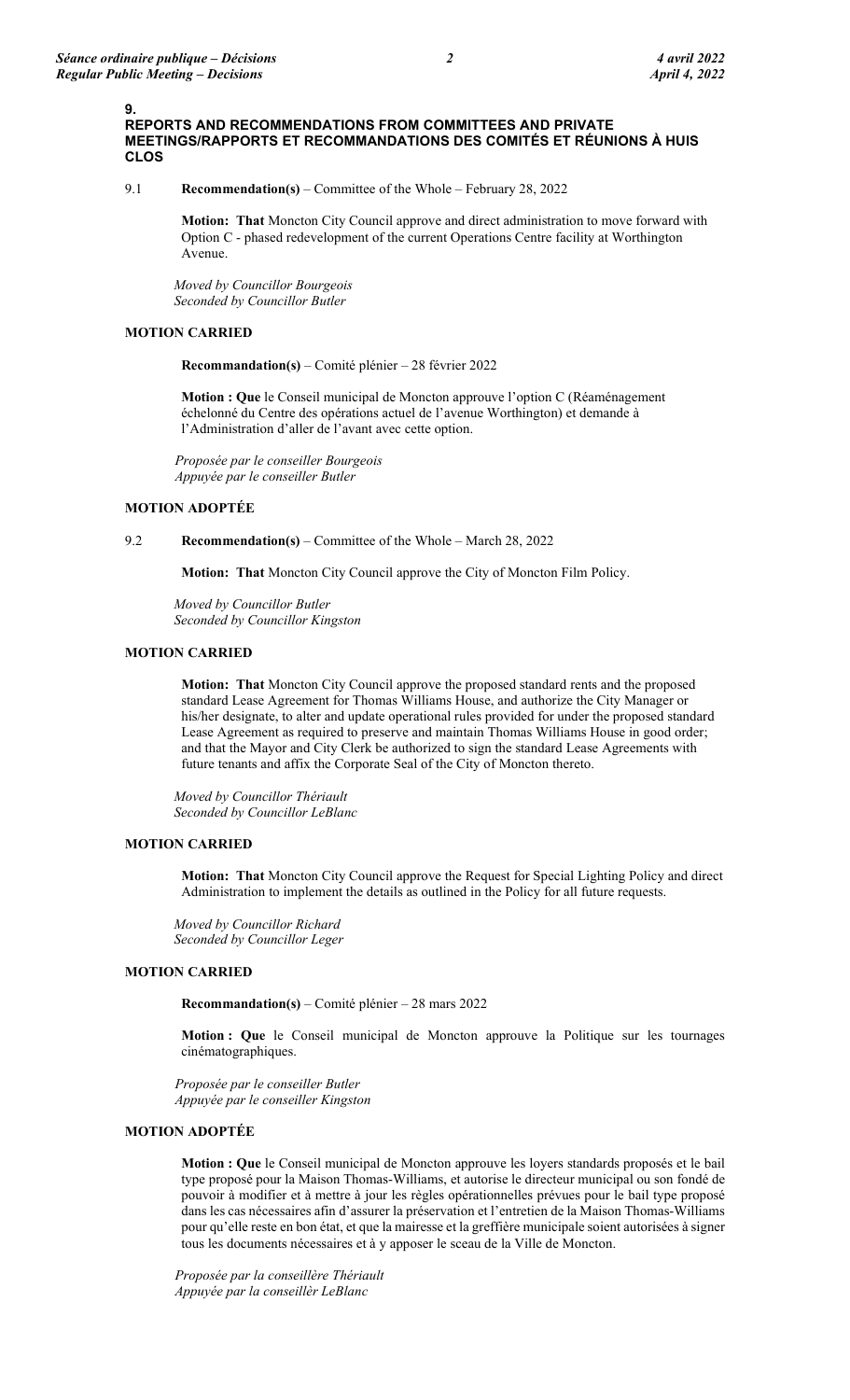9.

## 9.1 Recommendation(s) – Committee of the Whole – February 28, 2022

Motion: That Moncton City Council approve and direct administration to move forward with Option C - phased redevelopment of the current Operations Centre facility at Worthington Avenue.

Moved by Councillor Bourgeois Seconded by Councillor Butler

## MOTION CARRIED

Recommandation(s) – Comité plénier – 28 février 2022

Motion : Que le Conseil municipal de Moncton approuve l'option C (Réaménagement échelonné du Centre des opérations actuel de l'avenue Worthington) et demande à l'Administration d'aller de l'avant avec cette option.

Proposée par le conseiller Bourgeois Appuyée par le conseiller Butler

## MOTION ADOPTÉE

9.2 Recommendation(s) – Committee of the Whole – March 28, 2022

Motion: That Moncton City Council approve the City of Moncton Film Policy.

Moved by Councillor Butler Seconded by Councillor Kingston

## MOTION CARRIED

Motion: That Moncton City Council approve the proposed standard rents and the proposed standard Lease Agreement for Thomas Williams House, and authorize the City Manager or his/her designate, to alter and update operational rules provided for under the proposed standard Lease Agreement as required to preserve and maintain Thomas Williams House in good order; and that the Mayor and City Clerk be authorized to sign the standard Lease Agreements with future tenants and affix the Corporate Seal of the City of Moncton thereto.

Moved by Councillor Thériault Seconded by Councillor LeBlanc

## MOTION CARRIED

Motion: That Moncton City Council approve the Request for Special Lighting Policy and direct Administration to implement the details as outlined in the Policy for all future requests.

Moved by Councillor Richard Seconded by Councillor Leger

## MOTION CARRIED

Recommandation(s) – Comité plénier – 28 mars 2022

Motion : Que le Conseil municipal de Moncton approuve la Politique sur les tournages cinématographiques.

Proposée par le conseiller Butler Appuyée par le conseiller Kingston

## MOTION ADOPTÉE

Motion : Que le Conseil municipal de Moncton approuve les loyers standards proposés et le bail type proposé pour la Maison Thomas-Williams, et autorise le directeur municipal ou son fondé de pouvoir à modifier et à mettre à jour les règles opérationnelles prévues pour le bail type proposé dans les cas nécessaires afin d'assurer la préservation et l'entretien de la Maison Thomas-Williams pour qu'elle reste en bon état, et que la mairesse et la greffière municipale soient autorisées à signer tous les documents nécessaires et à y apposer le sceau de la Ville de Moncton.

Proposée par la conseillère Thériault Appuyée par la conseillèr LeBlanc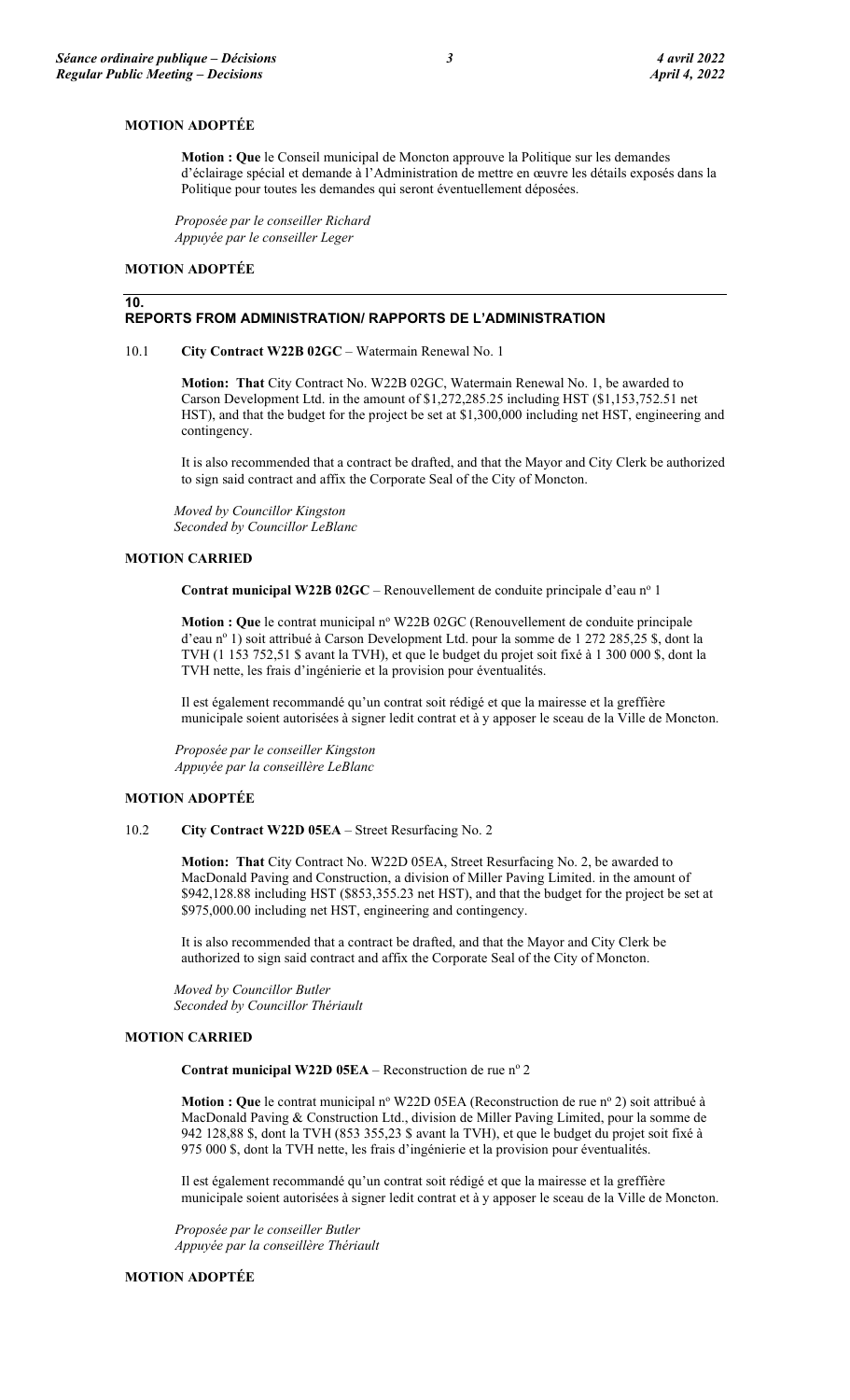#### MOTION ADOPTÉE

Motion : Que le Conseil municipal de Moncton approuve la Politique sur les demandes d'éclairage spécial et demande à l'Administration de mettre en œuvre les détails exposés dans la Politique pour toutes les demandes qui seront éventuellement déposées.

Proposée par le conseiller Richard Appuyée par le conseiller Leger

#### MOTION ADOPTÉE

#### 10.

## REPORTS FROM ADMINISTRATION/ RAPPORTS DE L'ADMINISTRATION

#### 10.1 City Contract W22B 02GC – Watermain Renewal No. 1

Motion: That City Contract No. W22B 02GC, Watermain Renewal No. 1, be awarded to Carson Development Ltd. in the amount of \$1,272,285.25 including HST (\$1,153,752.51 net HST), and that the budget for the project be set at \$1,300,000 including net HST, engineering and contingency.

It is also recommended that a contract be drafted, and that the Mayor and City Clerk be authorized to sign said contract and affix the Corporate Seal of the City of Moncton.

Moved by Councillor Kingston Seconded by Councillor LeBlanc

#### MOTION CARRIED

Contrat municipal W22B  $02GC$  – Renouvellement de conduite principale d'eau n<sup>o</sup> 1

Motion : Que le contrat municipal nº W22B 02GC (Renouvellement de conduite principale d'eau nº 1) soit attribué à Carson Development Ltd. pour la somme de 1 272 285,25 \$, dont la TVH (1 153 752,51 \$ avant la TVH), et que le budget du projet soit fixé à 1 300 000 \$, dont la TVH nette, les frais d'ingénierie et la provision pour éventualités.

Il est également recommandé qu'un contrat soit rédigé et que la mairesse et la greffière municipale soient autorisées à signer ledit contrat et à y apposer le sceau de la Ville de Moncton.

Proposée par le conseiller Kingston Appuyée par la conseillère LeBlanc

#### MOTION ADOPTÉE

#### 10.2 City Contract W22D 05EA – Street Resurfacing No. 2

Motion: That City Contract No. W22D 05EA, Street Resurfacing No. 2, be awarded to MacDonald Paving and Construction, a division of Miller Paving Limited. in the amount of \$942,128.88 including HST (\$853,355.23 net HST), and that the budget for the project be set at \$975,000.00 including net HST, engineering and contingency.

It is also recommended that a contract be drafted, and that the Mayor and City Clerk be authorized to sign said contract and affix the Corporate Seal of the City of Moncton.

Moved by Councillor Butler Seconded by Councillor Thériault

## MOTION CARRIED

Contrat municipal W22D 05EA – Reconstruction de rue  $n^{\circ}$  2

Motion : Que le contrat municipal nº W22D 05EA (Reconstruction de rue nº 2) soit attribué à MacDonald Paving & Construction Ltd., division de Miller Paving Limited, pour la somme de 942 128,88 \$, dont la TVH (853 355,23 \$ avant la TVH), et que le budget du projet soit fixé à 975 000 \$, dont la TVH nette, les frais d'ingénierie et la provision pour éventualités.

Il est également recommandé qu'un contrat soit rédigé et que la mairesse et la greffière municipale soient autorisées à signer ledit contrat et à y apposer le sceau de la Ville de Moncton.

Proposée par le conseiller Butler Appuyée par la conseillère Thériault

#### MOTION ADOPTÉE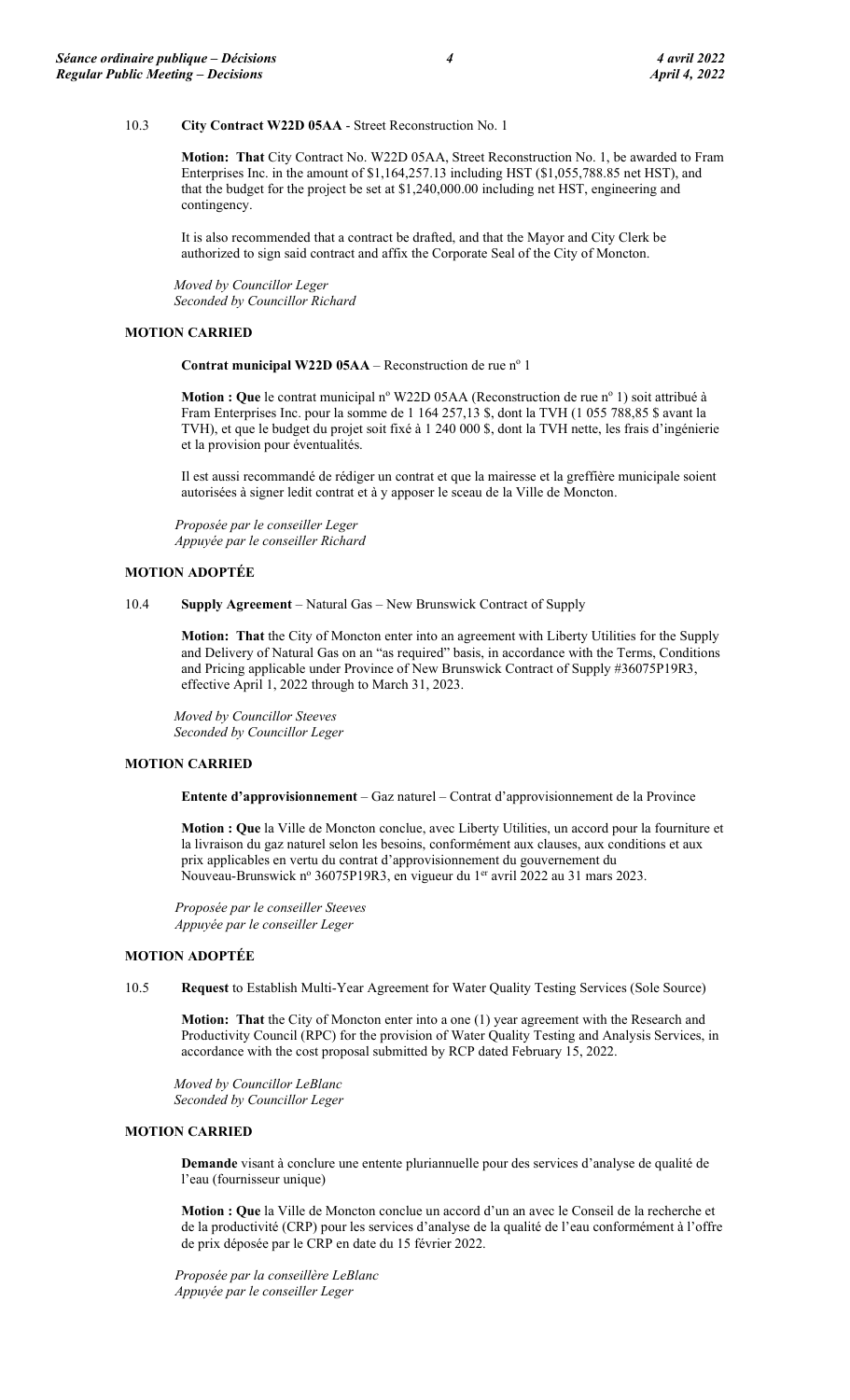#### 10.3 City Contract W22D 05AA - Street Reconstruction No. 1

Motion: That City Contract No. W22D 05AA, Street Reconstruction No. 1, be awarded to Fram Enterprises Inc. in the amount of \$1,164,257.13 including HST (\$1,055,788.85 net HST), and that the budget for the project be set at \$1,240,000.00 including net HST, engineering and contingency.

It is also recommended that a contract be drafted, and that the Mayor and City Clerk be authorized to sign said contract and affix the Corporate Seal of the City of Moncton.

Moved by Councillor Leger Seconded by Councillor Richard

#### MOTION CARRIED

Contrat municipal W22D 05AA – Reconstruction de rue  $n^{\circ}$  1

Motion : Que le contrat municipal nº W22D 05AA (Reconstruction de rue nº 1) soit attribué à Fram Enterprises Inc. pour la somme de 1 164 257,13 \$, dont la TVH (1 055 788,85 \$ avant la TVH), et que le budget du projet soit fixé à 1 240 000 \$, dont la TVH nette, les frais d'ingénierie et la provision pour éventualités.

Il est aussi recommandé de rédiger un contrat et que la mairesse et la greffière municipale soient autorisées à signer ledit contrat et à y apposer le sceau de la Ville de Moncton.

Proposée par le conseiller Leger Appuyée par le conseiller Richard

#### MOTION ADOPTÉE

10.4 Supply Agreement – Natural Gas – New Brunswick Contract of Supply

Motion: That the City of Moncton enter into an agreement with Liberty Utilities for the Supply and Delivery of Natural Gas on an "as required" basis, in accordance with the Terms, Conditions and Pricing applicable under Province of New Brunswick Contract of Supply #36075P19R3, effective April 1, 2022 through to March 31, 2023.

Moved by Councillor Steeves Seconded by Councillor Leger

### MOTION CARRIED

Entente d'approvisionnement – Gaz naturel – Contrat d'approvisionnement de la Province

Motion : Que la Ville de Moncton conclue, avec Liberty Utilities, un accord pour la fourniture et la livraison du gaz naturel selon les besoins, conformément aux clauses, aux conditions et aux prix applicables en vertu du contrat d'approvisionnement du gouvernement du Nouveau-Brunswick nº 36075P19R3, en vigueur du 1<sup>er</sup> avril 2022 au 31 mars 2023.

Proposée par le conseiller Steeves Appuyée par le conseiller Leger

#### MOTION ADOPTÉE

10.5 Request to Establish Multi-Year Agreement for Water Quality Testing Services (Sole Source)

Motion: That the City of Moncton enter into a one (1) year agreement with the Research and Productivity Council (RPC) for the provision of Water Quality Testing and Analysis Services, in accordance with the cost proposal submitted by RCP dated February 15, 2022.

Moved by Councillor LeBlanc Seconded by Councillor Leger

#### MOTION CARRIED

Demande visant à conclure une entente pluriannuelle pour des services d'analyse de qualité de l'eau (fournisseur unique)

Motion : Que la Ville de Moncton conclue un accord d'un an avec le Conseil de la recherche et de la productivité (CRP) pour les services d'analyse de la qualité de l'eau conformément à l'offre de prix déposée par le CRP en date du 15 février 2022.

Proposée par la conseillère LeBlanc Appuyée par le conseiller Leger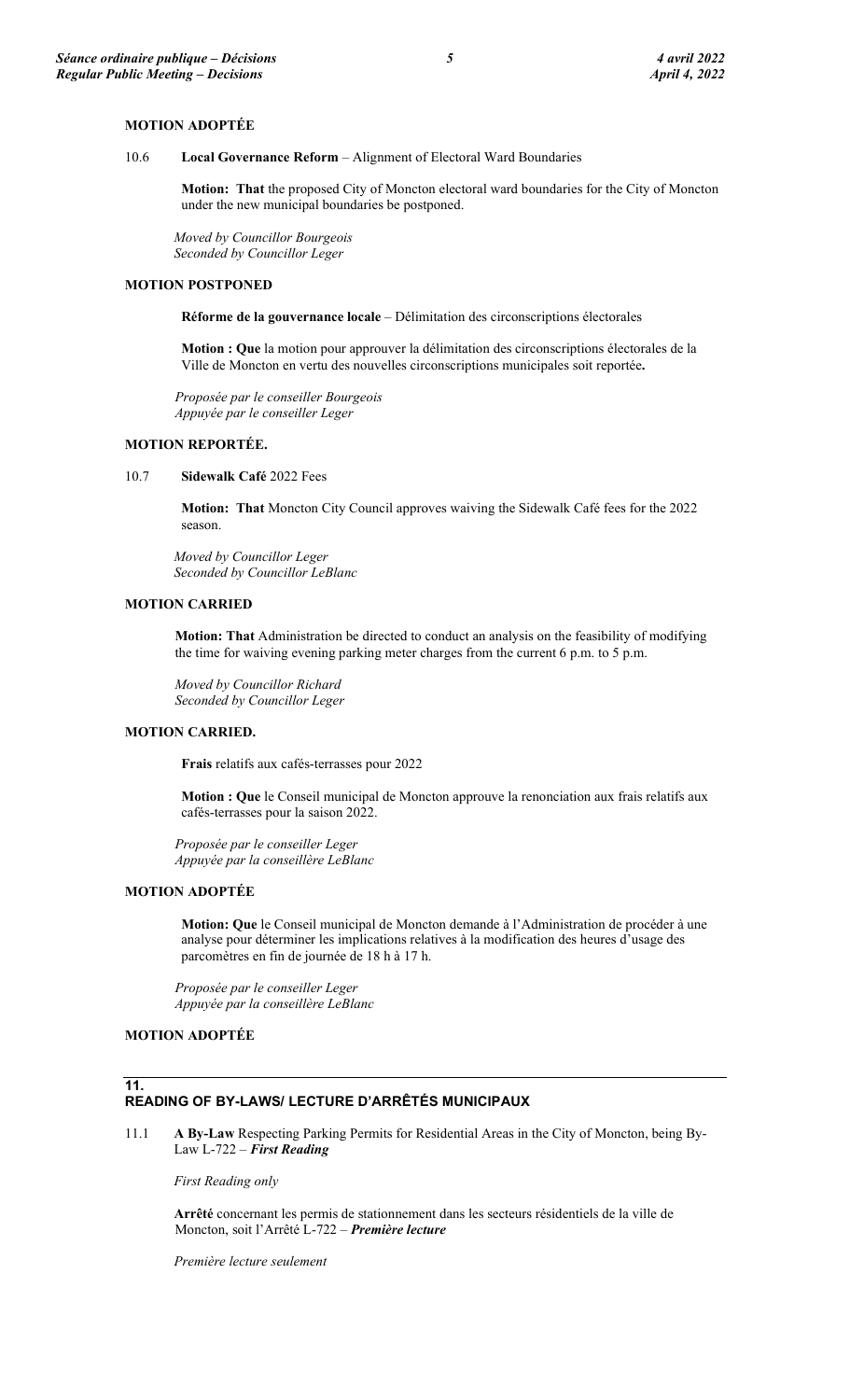#### MOTION ADOPTÉE

10.6 Local Governance Reform – Alignment of Electoral Ward Boundaries

Motion: That the proposed City of Moncton electoral ward boundaries for the City of Moncton under the new municipal boundaries be postponed.

Moved by Councillor Bourgeois Seconded by Councillor Leger

### MOTION POSTPONED

Réforme de la gouvernance locale – Délimitation des circonscriptions électorales

Motion : Que la motion pour approuver la délimitation des circonscriptions électorales de la Ville de Moncton en vertu des nouvelles circonscriptions municipales soit reportée.

Proposée par le conseiller Bourgeois Appuyée par le conseiller Leger

### MOTION REPORTÉE.

10.7 Sidewalk Café 2022 Fees

Motion: That Moncton City Council approves waiving the Sidewalk Café fees for the 2022 season.

Moved by Councillor Leger Seconded by Councillor LeBlanc

#### MOTION CARRIED

Motion: That Administration be directed to conduct an analysis on the feasibility of modifying the time for waiving evening parking meter charges from the current 6 p.m. to 5 p.m.

Moved by Councillor Richard Seconded by Councillor Leger

## MOTION CARRIED.

Frais relatifs aux cafés-terrasses pour 2022

Motion : Que le Conseil municipal de Moncton approuve la renonciation aux frais relatifs aux cafés-terrasses pour la saison 2022.

Proposée par le conseiller Leger Appuyée par la conseillère LeBlanc

## MOTION ADOPTÉE

Motion: Que le Conseil municipal de Moncton demande à l'Administration de procéder à une analyse pour déterminer les implications relatives à la modification des heures d'usage des parcomètres en fin de journée de 18 h à 17 h.

Proposée par le conseiller Leger Appuyée par la conseillère LeBlanc

### MOTION ADOPTÉE

#### 11. READING OF BY-LAWS/ LECTURE D'ARRÊTÉS MUNICIPAUX

11.1 A By-Law Respecting Parking Permits for Residential Areas in the City of Moncton, being By-Law L-722 - First Reading

First Reading only

Arrêté concernant les permis de stationnement dans les secteurs résidentiels de la ville de Moncton, soit l'Arrêté L-722 – Première lecture

Première lecture seulement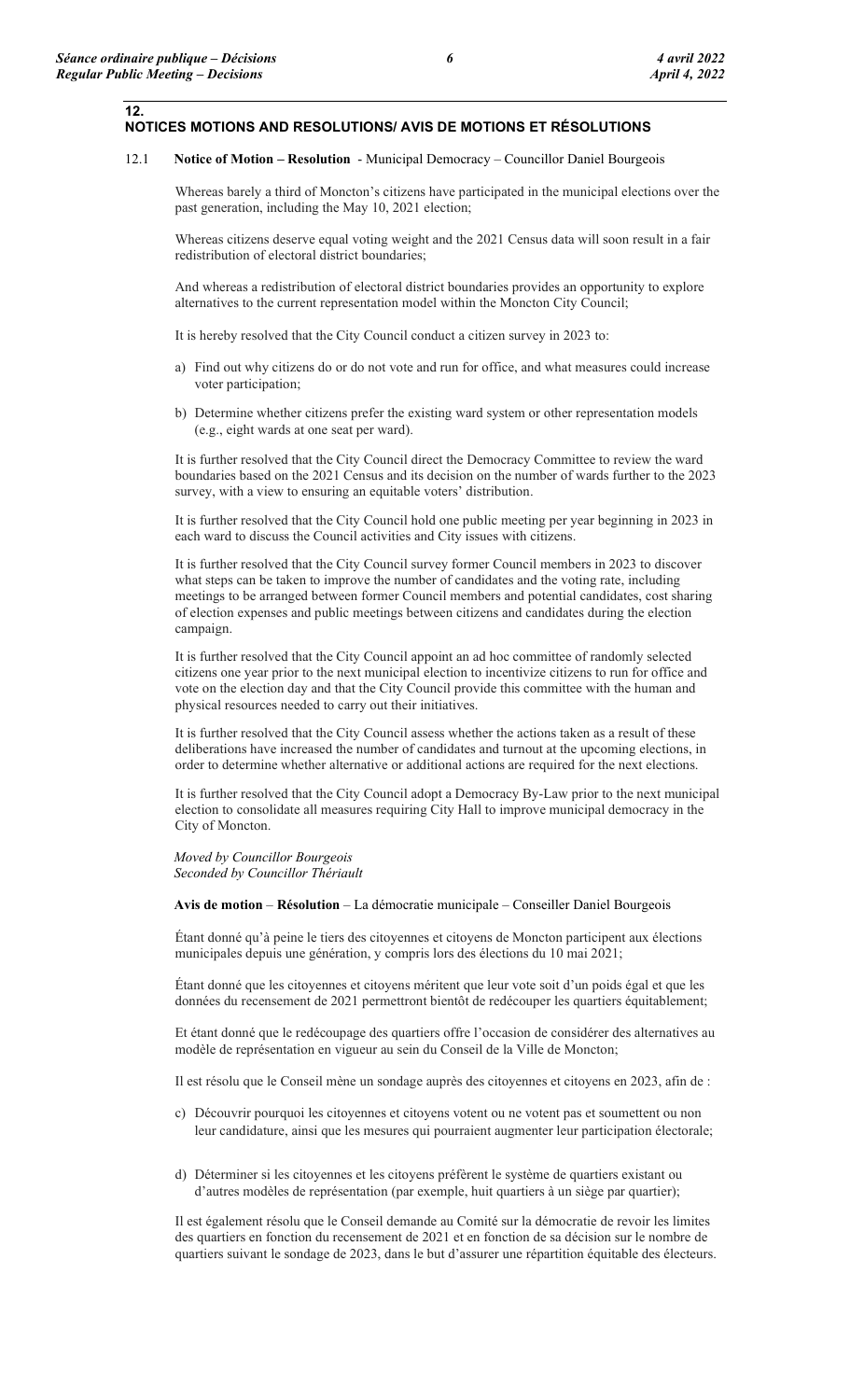12.

## NOTICES MOTIONS AND RESOLUTIONS/ AVIS DE MOTIONS ET RÉSOLUTIONS

#### 12.1 Notice of Motion – Resolution - Municipal Democracy – Councillor Daniel Bourgeois

Whereas barely a third of Moncton's citizens have participated in the municipal elections over the past generation, including the May 10, 2021 election;

Whereas citizens deserve equal voting weight and the 2021 Census data will soon result in a fair redistribution of electoral district boundaries;

And whereas a redistribution of electoral district boundaries provides an opportunity to explore alternatives to the current representation model within the Moncton City Council;

It is hereby resolved that the City Council conduct a citizen survey in 2023 to:

- a) Find out why citizens do or do not vote and run for office, and what measures could increase voter participation;
- b) Determine whether citizens prefer the existing ward system or other representation models (e.g., eight wards at one seat per ward).

It is further resolved that the City Council direct the Democracy Committee to review the ward boundaries based on the 2021 Census and its decision on the number of wards further to the 2023 survey, with a view to ensuring an equitable voters' distribution.

It is further resolved that the City Council hold one public meeting per year beginning in 2023 in each ward to discuss the Council activities and City issues with citizens.

It is further resolved that the City Council survey former Council members in 2023 to discover what steps can be taken to improve the number of candidates and the voting rate, including meetings to be arranged between former Council members and potential candidates, cost sharing of election expenses and public meetings between citizens and candidates during the election campaign.

It is further resolved that the City Council appoint an ad hoc committee of randomly selected citizens one year prior to the next municipal election to incentivize citizens to run for office and vote on the election day and that the City Council provide this committee with the human and physical resources needed to carry out their initiatives.

It is further resolved that the City Council assess whether the actions taken as a result of these deliberations have increased the number of candidates and turnout at the upcoming elections, in order to determine whether alternative or additional actions are required for the next elections.

It is further resolved that the City Council adopt a Democracy By-Law prior to the next municipal election to consolidate all measures requiring City Hall to improve municipal democracy in the City of Moncton.

Moved by Councillor Bourgeois Seconded by Councillor Thériault

Avis de motion – Résolution – La démocratie municipale – Conseiller Daniel Bourgeois

Étant donné qu'à peine le tiers des citoyennes et citoyens de Moncton participent aux élections municipales depuis une génération, y compris lors des élections du 10 mai 2021;

Étant donné que les citoyennes et citoyens méritent que leur vote soit d'un poids égal et que les données du recensement de 2021 permettront bientôt de redécouper les quartiers équitablement;

Et étant donné que le redécoupage des quartiers offre l'occasion de considérer des alternatives au modèle de représentation en vigueur au sein du Conseil de la Ville de Moncton;

Il est résolu que le Conseil mène un sondage auprès des citoyennes et citoyens en 2023, afin de :

- c) Découvrir pourquoi les citoyennes et citoyens votent ou ne votent pas et soumettent ou non leur candidature, ainsi que les mesures qui pourraient augmenter leur participation électorale;
- d) Déterminer si les citoyennes et les citoyens préfèrent le système de quartiers existant ou d'autres modèles de représentation (par exemple, huit quartiers à un siège par quartier);

Il est également résolu que le Conseil demande au Comité sur la démocratie de revoir les limites des quartiers en fonction du recensement de 2021 et en fonction de sa décision sur le nombre de quartiers suivant le sondage de 2023, dans le but d'assurer une répartition équitable des électeurs.